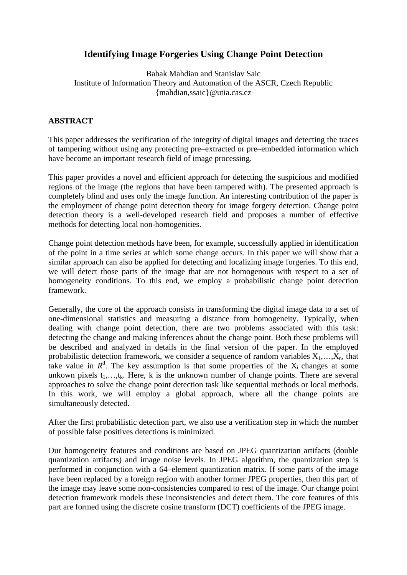## **Identifying Image Forgeries Using Change Point Detection**

Babak Mahdian and Stanislav Saic Institute of Information Theory and Automation of the ASCR, Czech Republic {mahdian,ssaic}@utia.cas.cz

## **ABSTRACT**

This paper addresses the verification of the integrity of digital images and detecting the traces of tampering without using any protecting pre–extracted or pre–embedded information which have become an important research field of image processing.

This paper provides a novel and efficient approach for detecting the suspicious and modified regions of the image (the regions that have been tampered with). The presented approach is completely blind and uses only the image function. An interesting contribution of the paper is the employment of change point detection theory for image forgery detection. Change point detection theory is a well-developed research field and proposes a number of effective methods for detecting local non-homogenities.

Change point detection methods have been, for example, successfully applied in identification of the point in a time series at which some change occurs. In this paper we will show that a similar approach can also be applied for detecting and localizing image forgeries. To this end, we will detect those parts of the image that are not homogenous with respect to a set of homogeneity conditions. To this end, we employ a probabilistic change point detection framework.

Generally, the core of the approach consists in transforming the digital image data to a set of one-dimensional statistics and measuring a distance from homogeneity. Typically, when dealing with change point detection, there are two problems associated with this task: detecting the change and making inferences about the change point. Both these problems will be described and analyzed in details in the final version of the paper. In the employed probabilistic detection framework, we consider a sequence of random variables  $X_1, \ldots, X_n$ , that take value in  $R<sup>d</sup>$ . The key assumption is that some properties of the  $X_i$  changes at some unkown pixels  $t_1,...,t_k$ . Here, k is the unknown number of change points. There are several approaches to solve the change point detection task like sequential methods or local methods. In this work, we will employ a global approach, where all the change points are simultaneously detected.

After the first probabilistic detection part, we also use a verification step in which the number of possible false positives detections is minimized.

Our homogeneity features and conditions are based on JPEG quantization artifacts (double quantization artifacts) and image noise levels. In JPEG algorithm, the quantization step is performed in conjunction with a 64–element quantization matrix. If some parts of the image have been replaced by a foreign region with another former JPEG properties, then this part of the image may leave some non-consistencies compared to rest of the image. Our change point detection framework models these inconsistencies and detect them. The core features of this part are formed using the discrete cosine transform (DCT) coefficients of the JPEG image.